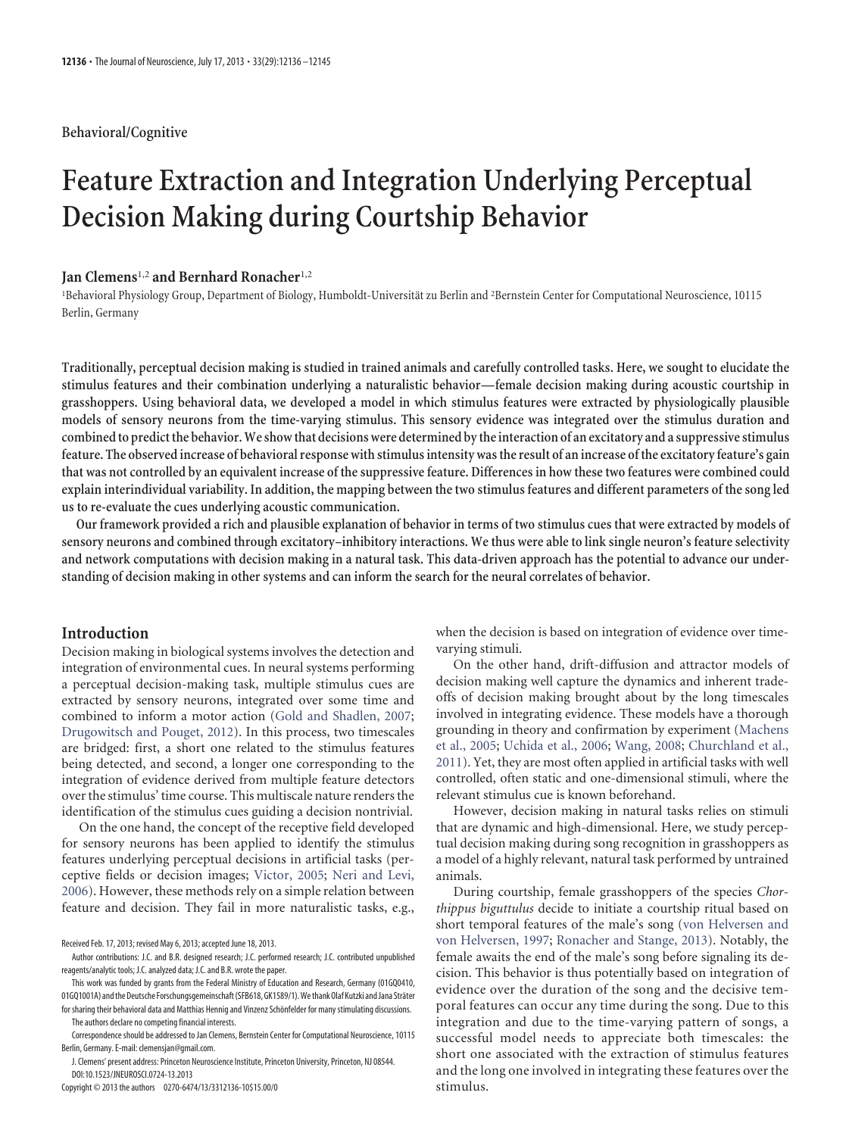## **Behavioral/Cognitive**

# **Feature Extraction and Integration Underlying Perceptual Decision Making during Courtship Behavior**

## **Jan Clemens**1,2 **and Bernhard Ronacher**1,2

<sup>1</sup>Behavioral Physiology Group, Department of Biology, Humboldt-Universität zu Berlin and <sup>2</sup>Bernstein Center for Computational Neuroscience, 10115 Berlin, Germany

**Traditionally, perceptual decision making is studied in trained animals and carefully controlled tasks. Here, we sought to elucidate the stimulus features and their combination underlying a naturalistic behavior—female decision making during acoustic courtship in grasshoppers. Using behavioral data, we developed a model in which stimulus features were extracted by physiologically plausible models of sensory neurons from the time-varying stimulus. This sensory evidence was integrated over the stimulus duration and** combined to predict the behavior. We show that decisions were determined by the interaction of an excitatory and a suppressive stimulus **feature. The observed increase of behavioral response with stimulus intensity was the result of an increase of the excitatory feature's gain that was not controlled by an equivalent increase of the suppressive feature. Differences in how these two features were combined could explain interindividual variability. In addition, the mapping between the two stimulus features and different parameters of the song led us to re-evaluate the cues underlying acoustic communication.**

**Our framework provided a rich and plausible explanation of behavior in terms of two stimulus cues that were extracted by models of sensory neurons and combined through excitatory–inhibitory interactions. We thus were able to link single neuron's feature selectivity and network computations with decision making in a natural task. This data-driven approach has the potential to advance our understanding of decision making in other systems and can inform the search for the neural correlates of behavior.**

# **Introduction**

Decision making in biological systems involves the detection and integration of environmental cues. In neural systems performing a perceptual decision-making task, multiple stimulus cues are extracted by sensory neurons, integrated over some time and combined to inform a motor action [\(Gold and Shadlen, 2007;](#page-8-0) [Drugowitsch and Pouget, 2012\)](#page-8-1). In this process, two timescales are bridged: first, a short one related to the stimulus features being detected, and second, a longer one corresponding to the integration of evidence derived from multiple feature detectors over the stimulus' time course. This multiscale nature renders the identification of the stimulus cues guiding a decision nontrivial.

On the one hand, the concept of the receptive field developed for sensory neurons has been applied to identify the stimulus features underlying perceptual decisions in artificial tasks (perceptive fields or decision images; [Victor, 2005;](#page-9-0) [Neri and Levi,](#page-9-1) [2006\)](#page-9-1). However, these methods rely on a simple relation between feature and decision. They fail in more naturalistic tasks, e.g.,

Received Feb. 17, 2013; revised May 6, 2013; accepted June 18, 2013.

J. Clemens' present address: Princeton Neuroscience Institute, Princeton University, Princeton, NJ 08544. DOI:10.1523/JNEUROSCI.0724-13.2013

Copyright © 2013 the authors 0270-6474/13/3312136-10\$15.00/0

when the decision is based on integration of evidence over timevarying stimuli.

On the other hand, drift-diffusion and attractor models of decision making well capture the dynamics and inherent tradeoffs of decision making brought about by the long timescales involved in integrating evidence. These models have a thorough grounding in theory and confirmation by experiment [\(Machens](#page-9-2) [et al., 2005;](#page-9-2) [Uchida et al., 2006;](#page-9-3) [Wang, 2008;](#page-9-4) [Churchland et al.,](#page-8-2) [2011\)](#page-8-2). Yet, they are most often applied in artificial tasks with well controlled, often static and one-dimensional stimuli, where the relevant stimulus cue is known beforehand.

However, decision making in natural tasks relies on stimuli that are dynamic and high-dimensional. Here, we study perceptual decision making during song recognition in grasshoppers as a model of a highly relevant, natural task performed by untrained animals.

During courtship, female grasshoppers of the species *Chorthippus biguttulus* decide to initiate a courtship ritual based on short temporal features of the male's song [\(von Helversen and](#page-9-5) [von Helversen, 1997;](#page-9-5) [Ronacher and Stange, 2013\)](#page-9-6). Notably, the female awaits the end of the male's song before signaling its decision. This behavior is thus potentially based on integration of evidence over the duration of the song and the decisive temporal features can occur any time during the song. Due to this integration and due to the time-varying pattern of songs, a successful model needs to appreciate both timescales: the short one associated with the extraction of stimulus features and the long one involved in integrating these features over the stimulus.

Author contributions: J.C. and B.R. designed research; J.C. performed research; J.C. contributed unpublished reagents/analytic tools; J.C. analyzed data; J.C. and B.R. wrote the paper.

This work was funded by grants from the Federal Ministry of Education and Research, Germany (01GQ0410, 01GQ1001A) and the Deutsche Forschungsgemeinschaft (SFB618, GK1589/1). We thank Olaf Kutzki and Jana Sträter for sharing their behavioral data and Matthias Hennig and Vinzenz Schönfelder for many stimulating discussions.

The authors declare no competing financial interests.

Correspondence should be addressed to Jan Clemens, Bernstein Center for Computational Neuroscience, 10115 Berlin, Germany. E-mail: clemensjan@gmail.com.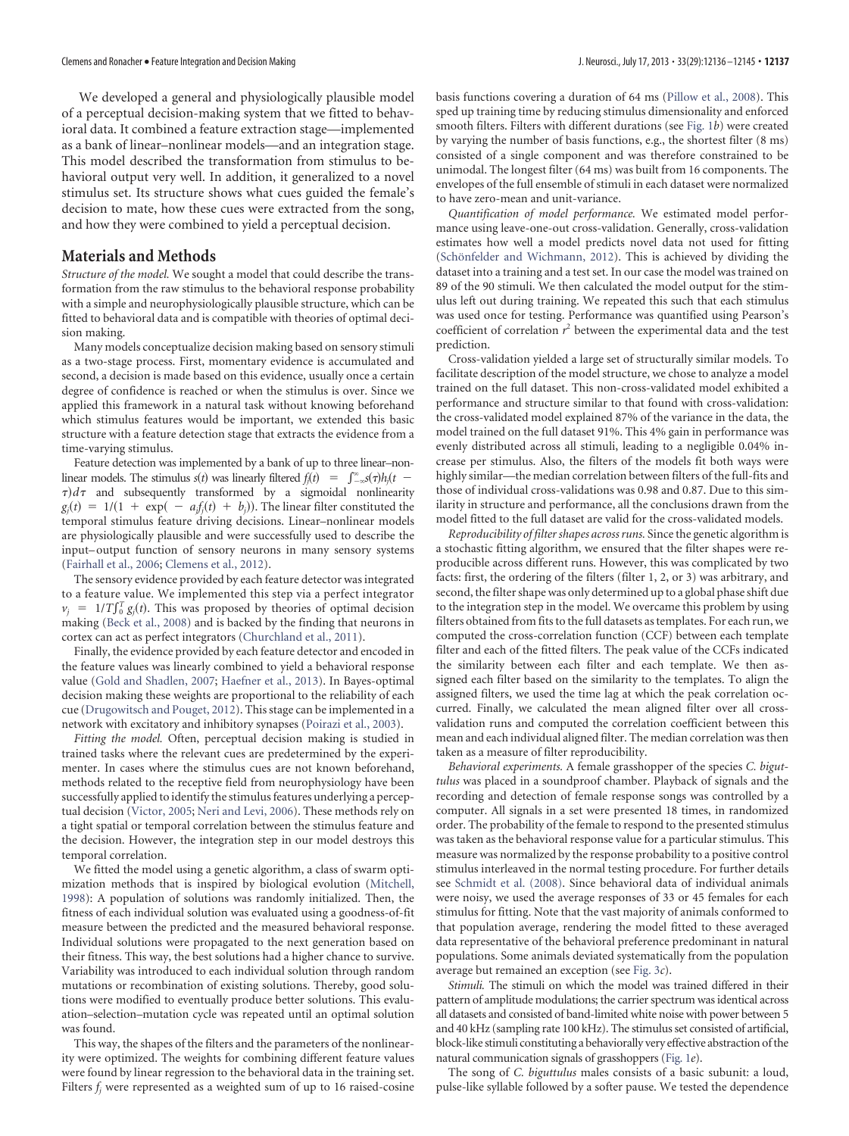We developed a general and physiologically plausible model of a perceptual decision-making system that we fitted to behavioral data. It combined a feature extraction stage—implemented as a bank of linear–nonlinear models—and an integration stage. This model described the transformation from stimulus to behavioral output very well. In addition, it generalized to a novel stimulus set. Its structure shows what cues guided the female's decision to mate, how these cues were extracted from the song, and how they were combined to yield a perceptual decision.

#### **Materials and Methods**

*Structure of the model.* We sought a model that could describe the transformation from the raw stimulus to the behavioral response probability with a simple and neurophysiologically plausible structure, which can be fitted to behavioral data and is compatible with theories of optimal decision making.

Many models conceptualize decision making based on sensory stimuli as a two-stage process. First, momentary evidence is accumulated and second, a decision is made based on this evidence, usually once a certain degree of confidence is reached or when the stimulus is over. Since we applied this framework in a natural task without knowing beforehand which stimulus features would be important, we extended this basic structure with a feature detection stage that extracts the evidence from a time-varying stimulus.

Feature detection was implemented by a bank of up to three linear–nonlinear models. The stimulus  $s(t)$  was linearly filtered  $f_j(t) = \int_{-\infty}^{\infty} s(\tau) h_j(t - \tau) dt$  $\tau$ )  $d\tau$  and subsequently transformed by a sigmoidal nonlinearity  $g_j(t) = 1/(1 + \exp(-a_j f_j(t) + b_j))$ . The linear filter constituted the temporal stimulus feature driving decisions. Linear–nonlinear models are physiologically plausible and were successfully used to describe the input– output function of sensory neurons in many sensory systems [\(Fairhall et al., 2006;](#page-8-3) [Clemens et al., 2012\)](#page-8-4).

The sensory evidence provided by each feature detector was integrated to a feature value. We implemented this step via a perfect integrator  $v_j = 1/T \int_0^T g_j(t)$ . This was proposed by theories of optimal decision making [\(Beck et al., 2008\)](#page-8-5) and is backed by the finding that neurons in cortex can act as perfect integrators [\(Churchland et al., 2011\)](#page-8-2).

Finally, the evidence provided by each feature detector and encoded in the feature values was linearly combined to yield a behavioral response value [\(Gold and Shadlen, 2007;](#page-8-0) [Haefner et al., 2013\)](#page-8-6). In Bayes-optimal decision making these weights are proportional to the reliability of each cue [\(Drugowitsch and Pouget, 2012\)](#page-8-1). This stage can be implemented in a network with excitatory and inhibitory synapses [\(Poirazi et al., 2003\)](#page-9-7).

*Fitting the model.* Often, perceptual decision making is studied in trained tasks where the relevant cues are predetermined by the experimenter. In cases where the stimulus cues are not known beforehand, methods related to the receptive field from neurophysiology have been successfully applied to identify the stimulus features underlying a perceptual decision [\(Victor, 2005;](#page-9-0) [Neri and Levi, 2006\)](#page-9-1). These methods rely on a tight spatial or temporal correlation between the stimulus feature and the decision. However, the integration step in our model destroys this temporal correlation.

We fitted the model using a genetic algorithm, a class of swarm optimization methods that is inspired by biological evolution [\(Mitchell,](#page-9-8) [1998\)](#page-9-8): A population of solutions was randomly initialized. Then, the fitness of each individual solution was evaluated using a goodness-of-fit measure between the predicted and the measured behavioral response. Individual solutions were propagated to the next generation based on their fitness. This way, the best solutions had a higher chance to survive. Variability was introduced to each individual solution through random mutations or recombination of existing solutions. Thereby, good solutions were modified to eventually produce better solutions. This evaluation–selection–mutation cycle was repeated until an optimal solution was found.

This way, the shapes of the filters and the parameters of the nonlinearity were optimized. The weights for combining different feature values were found by linear regression to the behavioral data in the training set. Filters  $f_i$  were represented as a weighted sum of up to 16 raised-cosine basis functions covering a duration of 64 ms [\(Pillow et al., 2008\)](#page-9-9). This sped up training time by reducing stimulus dimensionality and enforced smooth filters. Filters with different durations (see [Fig. 1](#page-2-0)*b*) were created by varying the number of basis functions, e.g., the shortest filter (8 ms) consisted of a single component and was therefore constrained to be unimodal. The longest filter (64 ms) was built from 16 components. The envelopes of the full ensemble of stimuli in each dataset were normalized to have zero-mean and unit-variance.

*Quantification of model performance.* We estimated model performance using leave-one-out cross-validation. Generally, cross-validation estimates how well a model predicts novel data not used for fitting (Schönfelder and Wichmann, 2012). This is achieved by dividing the dataset into a training and a test set. In our case the model was trained on 89 of the 90 stimuli. We then calculated the model output for the stimulus left out during training. We repeated this such that each stimulus was used once for testing. Performance was quantified using Pearson's coefficient of correlation *r* <sup>2</sup> between the experimental data and the test prediction.

Cross-validation yielded a large set of structurally similar models. To facilitate description of the model structure, we chose to analyze a model trained on the full dataset. This non-cross-validated model exhibited a performance and structure similar to that found with cross-validation: the cross-validated model explained 87% of the variance in the data, the model trained on the full dataset 91%. This 4% gain in performance was evenly distributed across all stimuli, leading to a negligible 0.04% increase per stimulus. Also, the filters of the models fit both ways were highly similar—the median correlation between filters of the full-fits and those of individual cross-validations was 0.98 and 0.87. Due to this similarity in structure and performance, all the conclusions drawn from the model fitted to the full dataset are valid for the cross-validated models.

*Reproducibility of filter shapes across runs.* Since the genetic algorithm is a stochastic fitting algorithm, we ensured that the filter shapes were reproducible across different runs. However, this was complicated by two facts: first, the ordering of the filters (filter 1, 2, or 3) was arbitrary, and second, the filter shape was only determined up to a global phase shift due to the integration step in the model. We overcame this problem by using filters obtained from fits to the full datasets as templates. For each run, we computed the cross-correlation function (CCF) between each template filter and each of the fitted filters. The peak value of the CCFs indicated the similarity between each filter and each template. We then assigned each filter based on the similarity to the templates. To align the assigned filters, we used the time lag at which the peak correlation occurred. Finally, we calculated the mean aligned filter over all crossvalidation runs and computed the correlation coefficient between this mean and each individual aligned filter. The median correlation was then taken as a measure of filter reproducibility.

*Behavioral experiments.* A female grasshopper of the species *C. biguttulus* was placed in a soundproof chamber. Playback of signals and the recording and detection of female response songs was controlled by a computer. All signals in a set were presented 18 times, in randomized order. The probability of the female to respond to the presented stimulus was taken as the behavioral response value for a particular stimulus. This measure was normalized by the response probability to a positive control stimulus interleaved in the normal testing procedure. For further details see [Schmidt et al. \(2008\).](#page-9-11) Since behavioral data of individual animals were noisy, we used the average responses of 33 or 45 females for each stimulus for fitting. Note that the vast majority of animals conformed to that population average, rendering the model fitted to these averaged data representative of the behavioral preference predominant in natural populations. Some animals deviated systematically from the population average but remained an exception (see [Fig. 3](#page-5-0)*c*).

*Stimuli.* The stimuli on which the model was trained differed in their pattern of amplitude modulations; the carrier spectrum was identical across all datasets and consisted of band-limited white noise with power between 5 and 40 kHz (sampling rate 100 kHz). The stimulus set consisted of artificial, block-like stimuli constituting a behaviorally very effective abstraction of the natural communication signals of grasshoppers [\(Fig. 1](#page-2-0)*e*).

The song of *C. biguttulus* males consists of a basic subunit: a loud, pulse-like syllable followed by a softer pause. We tested the dependence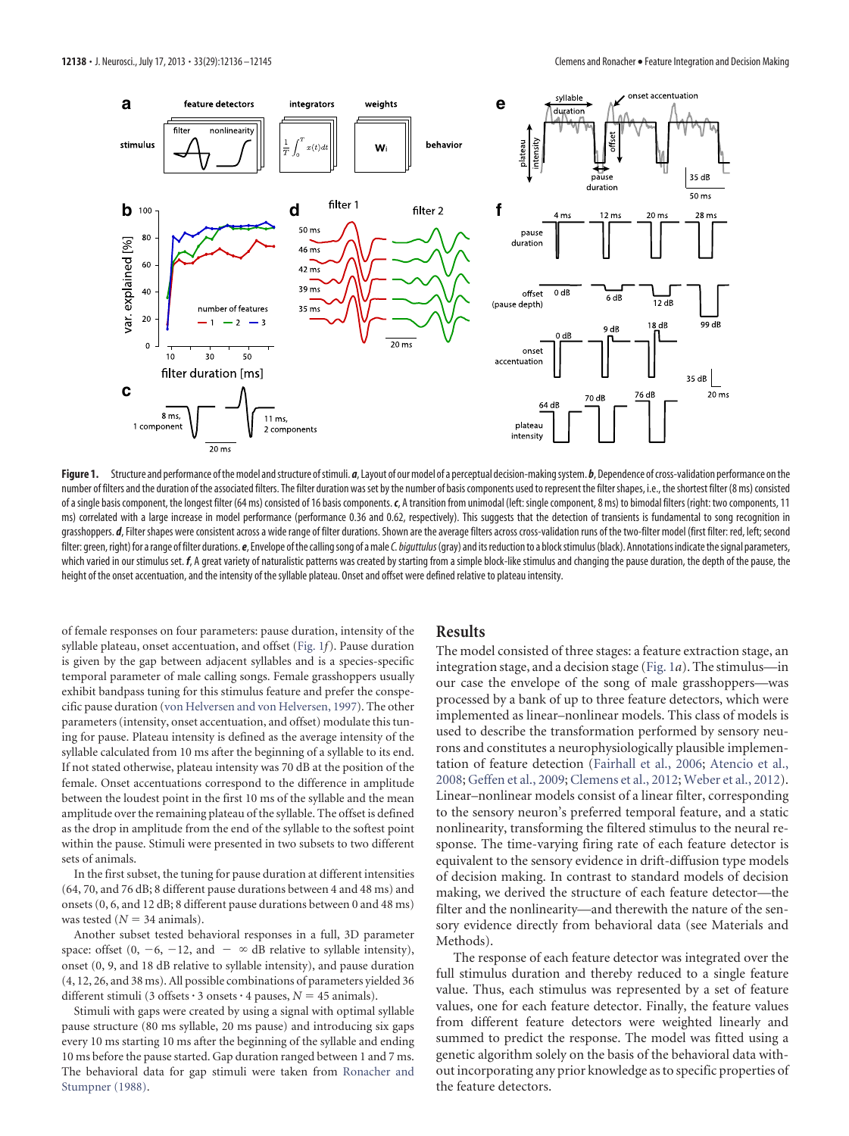

<span id="page-2-0"></span>Figure 1. Structure and performance of the model and structure of stimuli. *a*, Layout of our model of a perceptual decision-making system. *b*, Dependence of cross-validation performance on the number of filters and the duration of the associated filters. The filter duration was set by the number of basis components used to represent the filter shapes, i.e., the shortest filter (8 ms) consisted of a single basis component, the longest filter (64 ms) consisted of 16 basis components.*c*, A transition from unimodal (left: single component, 8 ms) to bimodal filters (right: two components, 11 ms) correlated with a large increase in model performance (performance 0.36 and 0.62, respectively). This suggests that the detection of transients is fundamental to song recognition in grasshoppers. d, Filter shapes were consistent across a wide range of filter durations. Shown are the average filters across cross-validation runs of the two-filter model (first filter: red, left; second filter: green, right) for a range of filter durations. e, Envelope of the calling song of a male C. biguttulus (gray) and its reduction to a block stimulus (black). Annotations indicate the signal parameters, which varied in our stimulus set. *f*, A great variety of naturalistic patterns was created by starting from a simple block-like stimulus and changing the pause duration, the depth of the pause, the height of the onset accentuation, and the intensity of the syllable plateau. Onset and offset were defined relative to plateau intensity.

of female responses on four parameters: pause duration, intensity of the syllable plateau, onset accentuation, and offset [\(Fig. 1](#page-2-0)*f*). Pause duration is given by the gap between adjacent syllables and is a species-specific temporal parameter of male calling songs. Female grasshoppers usually exhibit bandpass tuning for this stimulus feature and prefer the conspecific pause duration [\(von Helversen and von Helversen, 1997\)](#page-9-5). The other parameters (intensity, onset accentuation, and offset) modulate this tuning for pause. Plateau intensity is defined as the average intensity of the syllable calculated from 10 ms after the beginning of a syllable to its end. If not stated otherwise, plateau intensity was 70 dB at the position of the female. Onset accentuations correspond to the difference in amplitude between the loudest point in the first 10 ms of the syllable and the mean amplitude over the remaining plateau of the syllable. The offset is defined as the drop in amplitude from the end of the syllable to the softest point within the pause. Stimuli were presented in two subsets to two different sets of animals.

In the first subset, the tuning for pause duration at different intensities (64, 70, and 76 dB; 8 different pause durations between 4 and 48 ms) and onsets (0, 6, and 12 dB; 8 different pause durations between 0 and 48 ms) was tested  $(N = 34 \text{ animals}).$ 

Another subset tested behavioral responses in a full, 3D parameter space: offset  $(0, -6, -12,$  and  $-\infty$  dB relative to syllable intensity), onset (0, 9, and 18 dB relative to syllable intensity), and pause duration (4, 12, 26, and 38 ms). All possible combinations of parameters yielded 36 different stimuli (3 offsets  $\cdot$  3 onsets  $\cdot$  4 pauses, *N* = 45 animals).

Stimuli with gaps were created by using a signal with optimal syllable pause structure (80 ms syllable, 20 ms pause) and introducing six gaps every 10 ms starting 10 ms after the beginning of the syllable and ending 10 ms before the pause started. Gap duration ranged between 1 and 7 ms. The behavioral data for gap stimuli were taken from [Ronacher and](#page-9-12) [Stumpner \(1988\).](#page-9-12)

## **Results**

The model consisted of three stages: a feature extraction stage, an integration stage, and a decision stage [\(Fig. 1](#page-2-0)*a*). The stimulus—in our case the envelope of the song of male grasshoppers—was processed by a bank of up to three feature detectors, which were implemented as linear–nonlinear models. This class of models is used to describe the transformation performed by sensory neurons and constitutes a neurophysiologically plausible implementation of feature detection [\(Fairhall et al., 2006;](#page-8-3) [Atencio et al.,](#page-8-7) [2008;](#page-8-7) [Geffen et al., 2009;](#page-8-8) [Clemens et al., 2012;](#page-8-4) [Weber et al., 2012\)](#page-9-13). Linear–nonlinear models consist of a linear filter, corresponding to the sensory neuron's preferred temporal feature, and a static nonlinearity, transforming the filtered stimulus to the neural response. The time-varying firing rate of each feature detector is equivalent to the sensory evidence in drift-diffusion type models of decision making. In contrast to standard models of decision making, we derived the structure of each feature detector—the filter and the nonlinearity—and therewith the nature of the sensory evidence directly from behavioral data (see Materials and Methods).

The response of each feature detector was integrated over the full stimulus duration and thereby reduced to a single feature value. Thus, each stimulus was represented by a set of feature values, one for each feature detector. Finally, the feature values from different feature detectors were weighted linearly and summed to predict the response. The model was fitted using a genetic algorithm solely on the basis of the behavioral data without incorporating any prior knowledge as to specific properties of the feature detectors.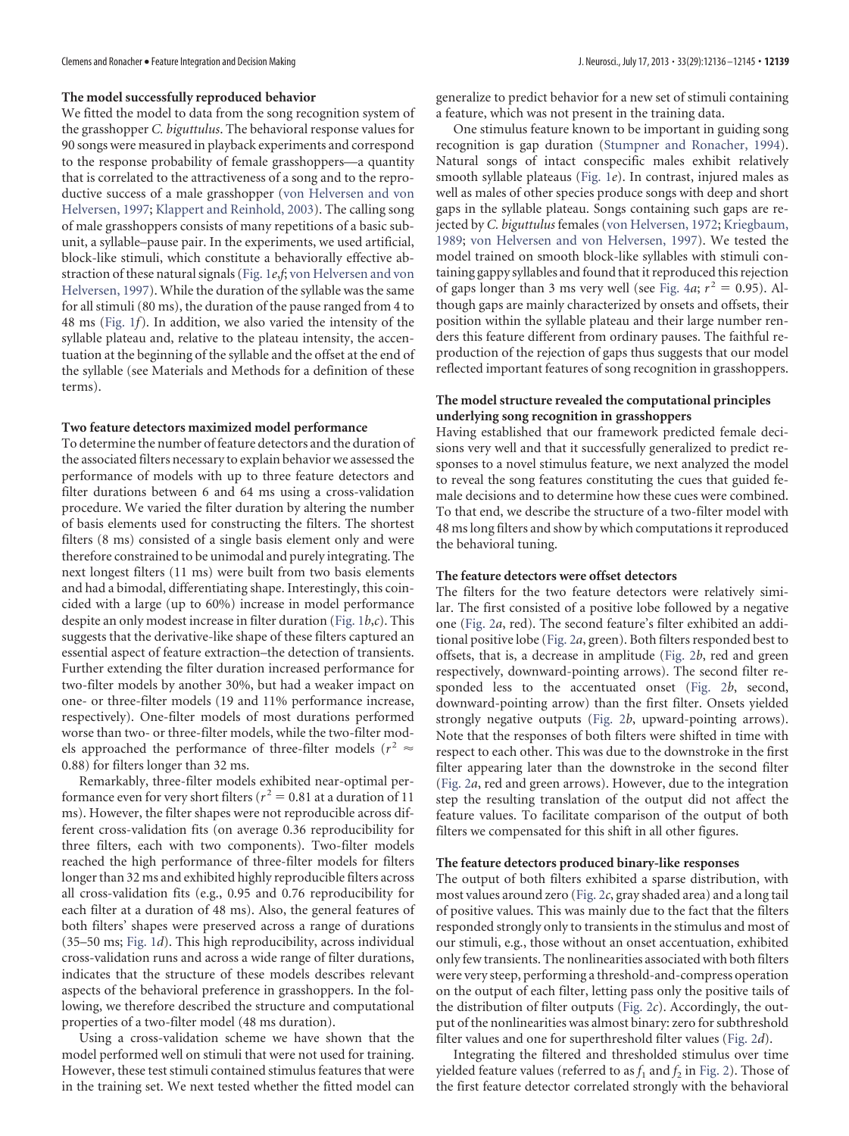#### **The model successfully reproduced behavior**

We fitted the model to data from the song recognition system of the grasshopper *C. biguttulus*. The behavioral response values for 90 songs were measured in playback experiments and correspond to the response probability of female grasshoppers—a quantity that is correlated to the attractiveness of a song and to the reproductive success of a male grasshopper [\(von Helversen and von](#page-9-5) [Helversen, 1997;](#page-9-5) [Klappert and Reinhold, 2003\)](#page-8-9). The calling song of male grasshoppers consists of many repetitions of a basic subunit, a syllable–pause pair. In the experiments, we used artificial, block-like stimuli, which constitute a behaviorally effective abstraction of these natural signals [\(Fig. 1](#page-2-0)*e*,*f*; [von Helversen and von](#page-9-5) [Helversen, 1997\)](#page-9-5). While the duration of the syllable was the same for all stimuli (80 ms), the duration of the pause ranged from 4 to 48 ms [\(Fig. 1](#page-2-0)*f*). In addition, we also varied the intensity of the syllable plateau and, relative to the plateau intensity, the accentuation at the beginning of the syllable and the offset at the end of the syllable (see Materials and Methods for a definition of these terms).

#### **Two feature detectors maximized model performance**

To determine the number of feature detectors and the duration of the associated filters necessary to explain behavior we assessed the performance of models with up to three feature detectors and filter durations between 6 and 64 ms using a cross-validation procedure. We varied the filter duration by altering the number of basis elements used for constructing the filters. The shortest filters (8 ms) consisted of a single basis element only and were therefore constrained to be unimodal and purely integrating. The next longest filters (11 ms) were built from two basis elements and had a bimodal, differentiating shape. Interestingly, this coincided with a large (up to 60%) increase in model performance despite an only modest increase in filter duration [\(Fig. 1](#page-2-0)*b*,*c*). This suggests that the derivative-like shape of these filters captured an essential aspect of feature extraction–the detection of transients. Further extending the filter duration increased performance for two-filter models by another 30%, but had a weaker impact on one- or three-filter models (19 and 11% performance increase, respectively). One-filter models of most durations performed worse than two- or three-filter models, while the two-filter models approached the performance of three-filter models ( $r^2 \approx$ 0.88) for filters longer than 32 ms.

Remarkably, three-filter models exhibited near-optimal performance even for very short filters ( $r^2$  = 0.81 at a duration of 11 ms). However, the filter shapes were not reproducible across different cross-validation fits (on average 0.36 reproducibility for three filters, each with two components). Two-filter models reached the high performance of three-filter models for filters longer than 32 ms and exhibited highly reproducible filters across all cross-validation fits (e.g., 0.95 and 0.76 reproducibility for each filter at a duration of 48 ms). Also, the general features of both filters' shapes were preserved across a range of durations (35–50 ms; [Fig. 1](#page-2-0)*d*). This high reproducibility, across individual cross-validation runs and across a wide range of filter durations, indicates that the structure of these models describes relevant aspects of the behavioral preference in grasshoppers. In the following, we therefore described the structure and computational properties of a two-filter model (48 ms duration).

Using a cross-validation scheme we have shown that the model performed well on stimuli that were not used for training. However, these test stimuli contained stimulus features that were in the training set. We next tested whether the fitted model can generalize to predict behavior for a new set of stimuli containing a feature, which was not present in the training data.

One stimulus feature known to be important in guiding song recognition is gap duration [\(Stumpner and Ronacher, 1994\)](#page-9-14). Natural songs of intact conspecific males exhibit relatively smooth syllable plateaus [\(Fig. 1](#page-2-0)*e*). In contrast, injured males as well as males of other species produce songs with deep and short gaps in the syllable plateau. Songs containing such gaps are rejected by *C. biguttulus* females [\(von Helversen, 1972;](#page-9-15) [Kriegbaum,](#page-9-16) [1989;](#page-9-16) [von Helversen and von Helversen, 1997\)](#page-9-5). We tested the model trained on smooth block-like syllables with stimuli containing gappy syllables and found that it reproduced this rejection of gaps longer than 3 ms very well (see Fig.  $4a$ ;  $r^2 = 0.95$ ). Although gaps are mainly characterized by onsets and offsets, their position within the syllable plateau and their large number renders this feature different from ordinary pauses. The faithful reproduction of the rejection of gaps thus suggests that our model reflected important features of song recognition in grasshoppers.

#### **The model structure revealed the computational principles underlying song recognition in grasshoppers**

Having established that our framework predicted female decisions very well and that it successfully generalized to predict responses to a novel stimulus feature, we next analyzed the model to reveal the song features constituting the cues that guided female decisions and to determine how these cues were combined. To that end, we describe the structure of a two-filter model with 48 ms long filters and show by which computations it reproduced the behavioral tuning.

#### **The feature detectors were offset detectors**

The filters for the two feature detectors were relatively similar. The first consisted of a positive lobe followed by a negative one [\(Fig. 2](#page-4-0)*a*, red). The second feature's filter exhibited an additional positive lobe [\(Fig. 2](#page-4-0)*a*, green). Both filters responded best to offsets, that is, a decrease in amplitude [\(Fig. 2](#page-4-0)*b*, red and green respectively, downward-pointing arrows). The second filter responded less to the accentuated onset [\(Fig. 2](#page-4-0)*b*, second, downward-pointing arrow) than the first filter. Onsets yielded strongly negative outputs [\(Fig. 2](#page-4-0)*b*, upward-pointing arrows). Note that the responses of both filters were shifted in time with respect to each other. This was due to the downstroke in the first filter appearing later than the downstroke in the second filter [\(Fig. 2](#page-4-0)*a*, red and green arrows). However, due to the integration step the resulting translation of the output did not affect the feature values. To facilitate comparison of the output of both filters we compensated for this shift in all other figures.

#### **The feature detectors produced binary-like responses**

The output of both filters exhibited a sparse distribution, with most values around zero [\(Fig. 2](#page-4-0)*c*, gray shaded area) and a long tail of positive values. This was mainly due to the fact that the filters responded strongly only to transients in the stimulus and most of our stimuli, e.g., those without an onset accentuation, exhibited only few transients. The nonlinearities associated with both filters were very steep, performing a threshold-and-compress operation on the output of each filter, letting pass only the positive tails of the distribution of filter outputs [\(Fig. 2](#page-4-0)*c*). Accordingly, the output of the nonlinearities was almost binary: zero for subthreshold filter values and one for superthreshold filter values [\(Fig. 2](#page-4-0)*d*).

Integrating the filtered and thresholded stimulus over time yielded feature values (referred to as  $f_1$  and  $f_2$  in [Fig. 2\)](#page-4-0). Those of the first feature detector correlated strongly with the behavioral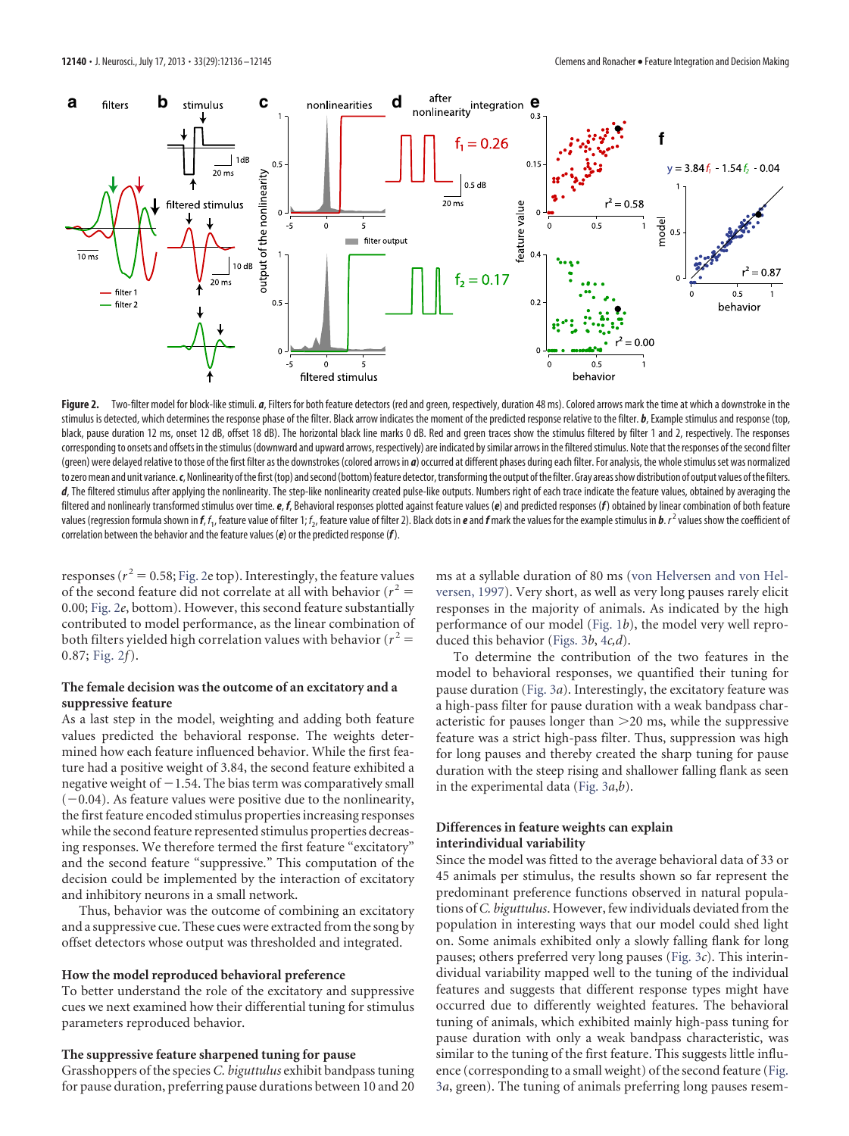

<span id="page-4-0"></span>Figure 2. Two-filter model for block-like stimuli. *a*, Filters for both feature detectors (red and green, respectively, duration 48 ms). Colored arrows mark the time at which a downstroke in the stimulus is detected, which determines the response phase of the filter. Black arrow indicates the moment of the predicted response relative to the filter. *b*, Example stimulus and response (top, black, pause duration 12 ms, onset 12 dB, offset 18 dB). The horizontal black line marks 0 dB. Red and green traces show the stimulus filtered by filter 1 and 2, respectively. The responses corresponding to onsets and offsets in the stimulus (downward and upward arrows, respectively) are indicated by similar arrows in the filtered stimulus. Note that the responses of the second filter (green) were delayed relative to those of the first filter as the downstrokes (colored arrows in *a*) occurred at different phases during each filter. For analysis, the whole stimulus set was normalized to zero mean and unit variance. c, Nonlinearity of the first (top) and second (bottom) feature detector, transforming the output of the filter. Gray areas show distribution of output values of the filters. d, The filtered stimulus after applying the nonlinearity. The step-like nonlinearity created pulse-like outputs. Numbers right of each trace indicate the feature values, obtained by averaging the filtered and nonlinearly transformed stimulus over time.*e*, *f*, Behavioral responses plotted against feature values (*e*) and predicted responses (*f*) obtained by linear combination of both feature values (regression formula shown in  $\bm{f}, f_1$ , feature value of filter 1;  $f_2$ , feature value of filter 2). Black dots in  $\bm{e}$  and  $\bm{f}$  mark the values for the example stimulus in  $\bm{b}$ .  $r^2$  values show the co correlation between the behavior and the feature values (*e*) or the predicted response (*f*).

responses ( $r^2$  = 0.58; [Fig. 2e](#page-4-0) top). Interestingly, the feature values of the second feature did not correlate at all with behavior ( $r^2$  = 0.00; [Fig. 2](#page-4-0)*e*, bottom). However, this second feature substantially contributed to model performance, as the linear combination of both filters yielded high correlation values with behavior ( $r^2$  = 0.87; [Fig. 2](#page-4-0)*f*).

## **The female decision was the outcome of an excitatory and a suppressive feature**

As a last step in the model, weighting and adding both feature values predicted the behavioral response. The weights determined how each feature influenced behavior. While the first feature had a positive weight of 3.84, the second feature exhibited a negative weight of  $-1.54$ . The bias term was comparatively small  $(-0.04)$ . As feature values were positive due to the nonlinearity, the first feature encoded stimulus properties increasing responses while the second feature represented stimulus properties decreasing responses. We therefore termed the first feature "excitatory" and the second feature "suppressive." This computation of the decision could be implemented by the interaction of excitatory and inhibitory neurons in a small network.

Thus, behavior was the outcome of combining an excitatory and a suppressive cue. These cues were extracted from the song by offset detectors whose output was thresholded and integrated.

#### **How the model reproduced behavioral preference**

To better understand the role of the excitatory and suppressive cues we next examined how their differential tuning for stimulus parameters reproduced behavior.

## **The suppressive feature sharpened tuning for pause**

Grasshoppers of the species *C. biguttulus* exhibit bandpass tuning for pause duration, preferring pause durations between 10 and 20

ms at a syllable duration of 80 ms [\(von Helversen and von Hel](#page-9-5)[versen, 1997\)](#page-9-5). Very short, as well as very long pauses rarely elicit responses in the majority of animals. As indicated by the high performance of our model [\(Fig. 1](#page-2-0)*b*), the model very well reproduced this behavior [\(Figs. 3](#page-5-0)*b*, [4](#page-6-0)*c,d*).

To determine the contribution of the two features in the model to behavioral responses, we quantified their tuning for pause duration [\(Fig. 3](#page-5-0)*a*). Interestingly, the excitatory feature was a high-pass filter for pause duration with a weak bandpass characteristic for pauses longer than  $>$  20 ms, while the suppressive feature was a strict high-pass filter. Thus, suppression was high for long pauses and thereby created the sharp tuning for pause duration with the steep rising and shallower falling flank as seen in the experimental data [\(Fig. 3](#page-5-0)*a*,*b*).

#### **Differences in feature weights can explain interindividual variability**

Since the model was fitted to the average behavioral data of 33 or 45 animals per stimulus, the results shown so far represent the predominant preference functions observed in natural populations of*C. biguttulus*. However, few individuals deviated from the population in interesting ways that our model could shed light on. Some animals exhibited only a slowly falling flank for long pauses; others preferred very long pauses [\(Fig. 3](#page-5-0)*c*). This interindividual variability mapped well to the tuning of the individual features and suggests that different response types might have occurred due to differently weighted features. The behavioral tuning of animals, which exhibited mainly high-pass tuning for pause duration with only a weak bandpass characteristic, was similar to the tuning of the first feature. This suggests little influence (corresponding to a small weight) of the second feature [\(Fig.](#page-5-0) [3](#page-5-0)*a*, green). The tuning of animals preferring long pauses resem-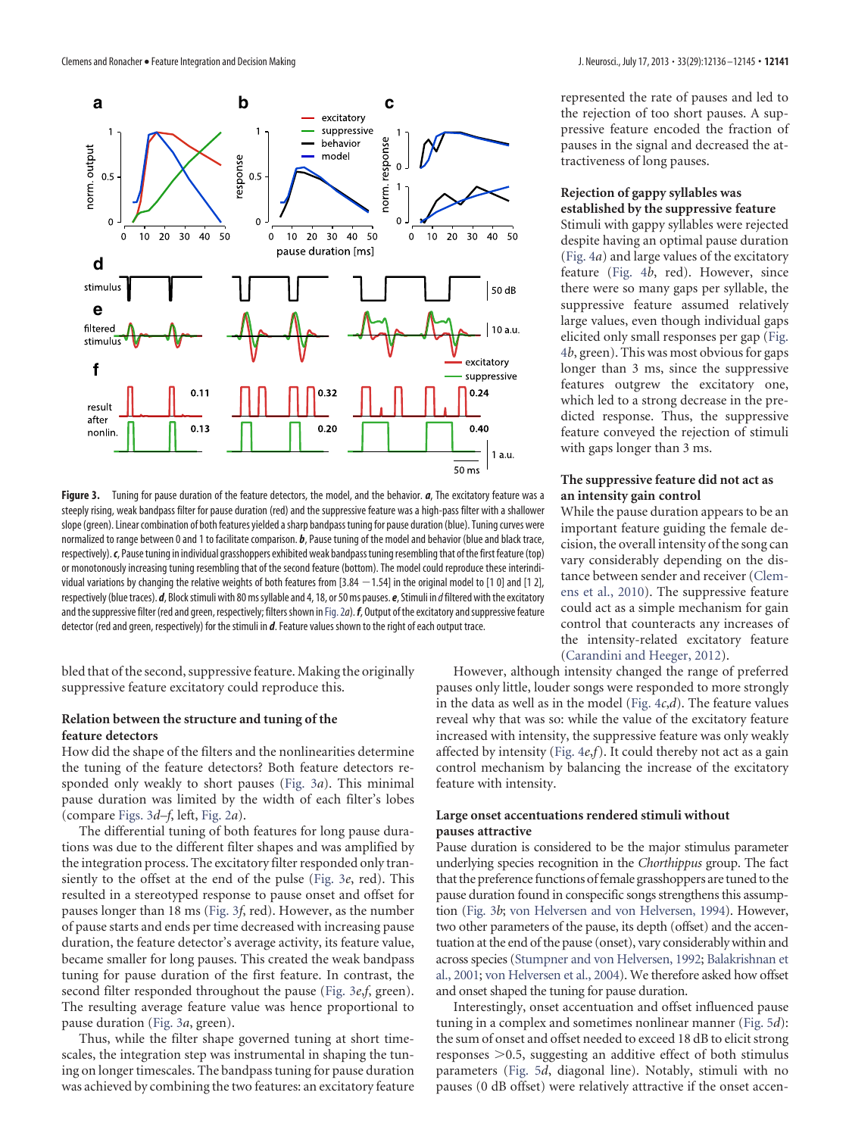

<span id="page-5-0"></span>**Figure 3.** Tuning for pause duration of the feature detectors, the model, and the behavior. *a*, The excitatory feature was a steeply rising, weak bandpass filter for pause duration (red) and the suppressive feature was a high-pass filter with a shallower slope (green). Linear combination of both features yielded asharp bandpass tuning for pause duration (blue). Tuning curves were normalized to range between 0 and 1 to facilitate comparison. *b*, Pause tuning of the model and behavior (blue and black trace, respectively).*c*, Pausetuning in individual grasshoppers exhibited weak bandpasstuning resemblingthat ofthe first feature (top) or monotonously increasing tuning resembling that of the second feature (bottom). The model could reproduce these interindividual variations by changing the relative weights of both features from  $[3.84 - 1.54]$  in the original model to  $[1 0]$  and  $[1 2]$ , respectively (blue traces). *d*, Blockstimuli with 80 mssyllable and 4, 18, or 50 ms pauses.*e*, Stimuli in *d*filtered with the excitatory and the suppressive filter (red and green, respectively; filters shown in [Fig. 2](#page-4-0)a). *f*, Output of the excitatory and suppressive feature detector (red and green, respectively) for the stimuli in *d*. Feature values shown to the right of each output trace.

bled that of the second, suppressive feature. Making the originally suppressive feature excitatory could reproduce this.

## **Relation between the structure and tuning of the feature detectors**

How did the shape of the filters and the nonlinearities determine the tuning of the feature detectors? Both feature detectors responded only weakly to short pauses [\(Fig. 3](#page-5-0)*a*). This minimal pause duration was limited by the width of each filter's lobes (compare [Figs. 3](#page-5-0)*d–f*, left, [Fig. 2](#page-4-0)*a*).

The differential tuning of both features for long pause durations was due to the different filter shapes and was amplified by the integration process. The excitatory filter responded only transiently to the offset at the end of the pulse [\(Fig. 3](#page-5-0)*e*, red). This resulted in a stereotyped response to pause onset and offset for pauses longer than 18 ms [\(Fig. 3](#page-5-0)*f*, red). However, as the number of pause starts and ends per time decreased with increasing pause duration, the feature detector's average activity, its feature value, became smaller for long pauses. This created the weak bandpass tuning for pause duration of the first feature. In contrast, the second filter responded throughout the pause [\(Fig. 3](#page-5-0)*e*,*f*, green). The resulting average feature value was hence proportional to pause duration [\(Fig. 3](#page-5-0)*a*, green).

Thus, while the filter shape governed tuning at short timescales, the integration step was instrumental in shaping the tuning on longer timescales. The bandpass tuning for pause duration was achieved by combining the two features: an excitatory feature represented the rate of pauses and led to the rejection of too short pauses. A suppressive feature encoded the fraction of pauses in the signal and decreased the attractiveness of long pauses.

#### **Rejection of gappy syllables was established by the suppressive feature**

Stimuli with gappy syllables were rejected despite having an optimal pause duration [\(Fig. 4](#page-6-0)*a*) and large values of the excitatory feature [\(Fig. 4](#page-6-0)*b*, red). However, since there were so many gaps per syllable, the suppressive feature assumed relatively large values, even though individual gaps elicited only small responses per gap [\(Fig.](#page-6-0) [4](#page-6-0)*b*, green). This was most obvious for gaps longer than 3 ms, since the suppressive features outgrew the excitatory one, which led to a strong decrease in the predicted response. Thus, the suppressive feature conveyed the rejection of stimuli with gaps longer than 3 ms.

## **The suppressive feature did not act as an intensity gain control**

While the pause duration appears to be an important feature guiding the female decision, the overall intensity of the song can vary considerably depending on the distance between sender and receiver [\(Clem](#page-8-10)[ens et al., 2010\)](#page-8-10). The suppressive feature could act as a simple mechanism for gain control that counteracts any increases of the intensity-related excitatory feature [\(Carandini and Heeger, 2012\)](#page-8-11).

However, although intensity changed the range of preferred pauses only little, louder songs were responded to more strongly in the data as well as in the model [\(Fig. 4](#page-6-0)*c*,*d*). The feature values reveal why that was so: while the value of the excitatory feature increased with intensity, the suppressive feature was only weakly affected by intensity [\(Fig. 4](#page-6-0)*e*,*f*). It could thereby not act as a gain control mechanism by balancing the increase of the excitatory feature with intensity.

# **Large onset accentuations rendered stimuli without pauses attractive**

Pause duration is considered to be the major stimulus parameter underlying species recognition in the *Chorthippus* group. The fact that the preference functions of female grasshoppers are tuned to the pause duration found in conspecific songs strengthens this assumption [\(Fig. 3](#page-5-0)*b*; [von Helversen and von Helversen, 1994\)](#page-9-17). However, two other parameters of the pause, its depth (offset) and the accentuation at the end of the pause (onset), vary considerably within and across species [\(Stumpner and von Helversen, 1992;](#page-9-18) [Balakrishnan et](#page-8-12) [al., 2001;](#page-8-12) [von Helversen et al., 2004\)](#page-9-19). We therefore asked how offset and onset shaped the tuning for pause duration.

Interestingly, onset accentuation and offset influenced pause tuning in a complex and sometimes nonlinear manner [\(Fig. 5](#page-6-1)*d*): the sum of onset and offset needed to exceed 18 dB to elicit strong responses  $>0.5$ , suggesting an additive effect of both stimulus parameters [\(Fig. 5](#page-6-1)*d*, diagonal line). Notably, stimuli with no pauses (0 dB offset) were relatively attractive if the onset accen-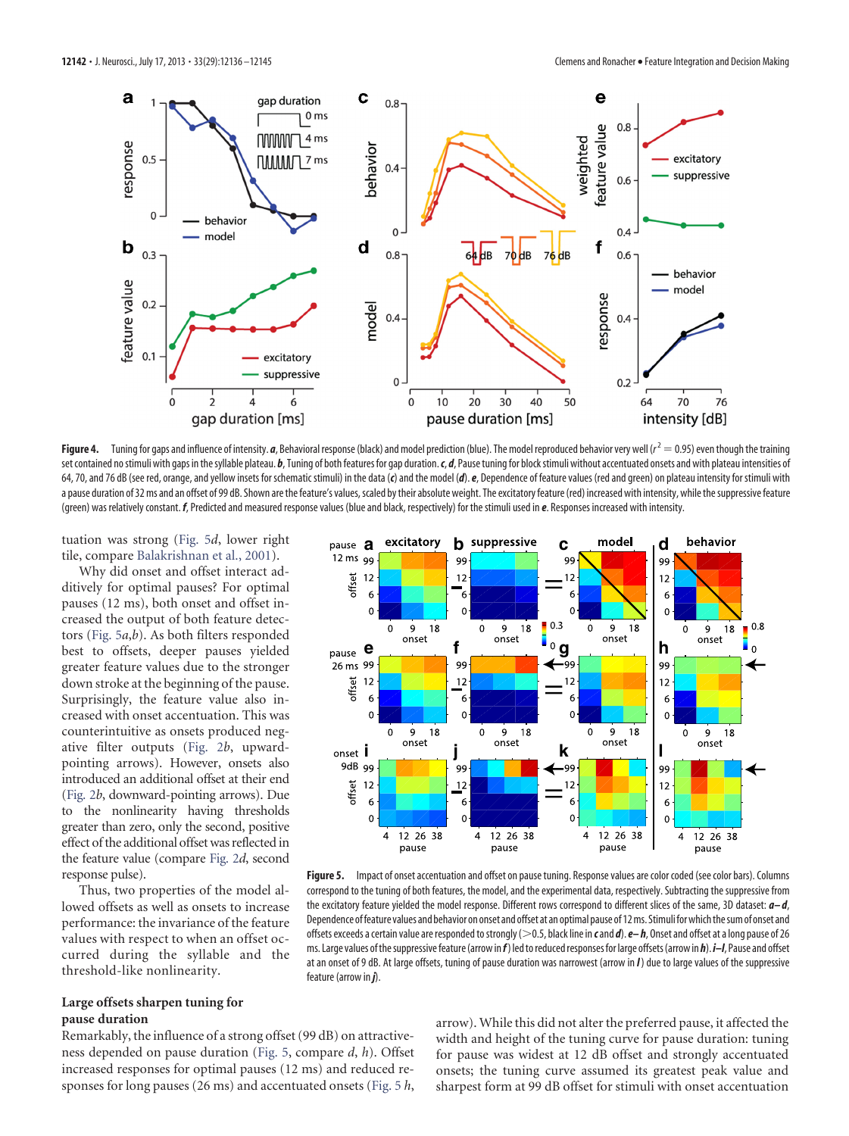

<span id="page-6-0"></span>Figure 4. Tuning for gaps and influence of intensity. *a*, Behavioral response (black) and model prediction (blue). The model reproduced behavior very well (*r*<sup>2</sup> = 0.95) even though the training set contained no stimuli with gaps in the syllable plateau. *b*, Tuning of both features for gap duration. *c*, *d*, Pause tuning for block stimuli without accentuated onsets and with plateau intensities of 64, 70, and 76 dB (see red, orange, and yellow insets for schematic stimuli) in the data (c) and the model (d). e, Dependence of feature values (red and green) on plateau intensity for stimuli with a pause duration of 32 ms and an offset of 99 dB. Shown are the feature's values, scaled by their absolute weight. The excitatory feature (red) increased with intensity, while the suppressive feature (green) was relatively constant. *f*, Predicted and measured response values (blue and black, respectively) for the stimuli used in *e*. Responses increased with intensity.

tuation was strong [\(Fig. 5](#page-6-1)*d*, lower right tile, compare [Balakrishnan et al., 2001\)](#page-8-12).

Why did onset and offset interact additively for optimal pauses? For optimal pauses (12 ms), both onset and offset increased the output of both feature detectors [\(Fig. 5](#page-6-1)*a*,*b*). As both filters responded best to offsets, deeper pauses yielded greater feature values due to the stronger down stroke at the beginning of the pause. Surprisingly, the feature value also increased with onset accentuation. This was counterintuitive as onsets produced negative filter outputs [\(Fig. 2](#page-4-0)*b*, upwardpointing arrows). However, onsets also introduced an additional offset at their end [\(Fig. 2](#page-4-0)*b*, downward-pointing arrows). Due to the nonlinearity having thresholds greater than zero, only the second, positive effect of the additional offset was reflected in the feature value (compare [Fig. 2](#page-4-0)*d*, second response pulse).

Thus, two properties of the model allowed offsets as well as onsets to increase performance: the invariance of the feature values with respect to when an offset occurred during the syllable and the threshold-like nonlinearity.



<span id="page-6-1"></span>**Figure 5.** Impact of onset accentuation and offset on pause tuning. Response values are color coded (see color bars). Columns correspond to the tuning of both features, the model, and the experimental data, respectively. Subtracting the suppressive from the excitatory feature yielded the model response. Different rows correspond to different slices of the same, 3D dataset: *a– d*, Dependence of feature values and behavior on onset and offset at an optimal pause of 12 ms. Stimuli for which the sum of onset and offsets exceeds a certain value are responded to strongly ( $>$ 0.5, black line in *c* and *d*). *e–h*, Onset and offset at a long pause of 26 ms. Large values of the suppressive feature (arrow in *f*) led to reduced responses for large offsets (arrow in *h*). *i–I*, Pause and offset at an onset of 9 dB. At large offsets, tuning of pause duration was narrowest (arrow in *l*) due to large values of the suppressive feature (arrow in *j*).

# **Large offsets sharpen tuning for pause duration**

Remarkably, the influence of a strong offset (99 dB) on attractiveness depended on pause duration [\(Fig. 5,](#page-6-1) compare *d*, *h*). Offset increased responses for optimal pauses (12 ms) and reduced responses for long pauses (26 ms) and accentuated onsets [\(Fig. 5](#page-6-1) *h*, arrow). While this did not alter the preferred pause, it affected the width and height of the tuning curve for pause duration: tuning for pause was widest at 12 dB offset and strongly accentuated onsets; the tuning curve assumed its greatest peak value and sharpest form at 99 dB offset for stimuli with onset accentuation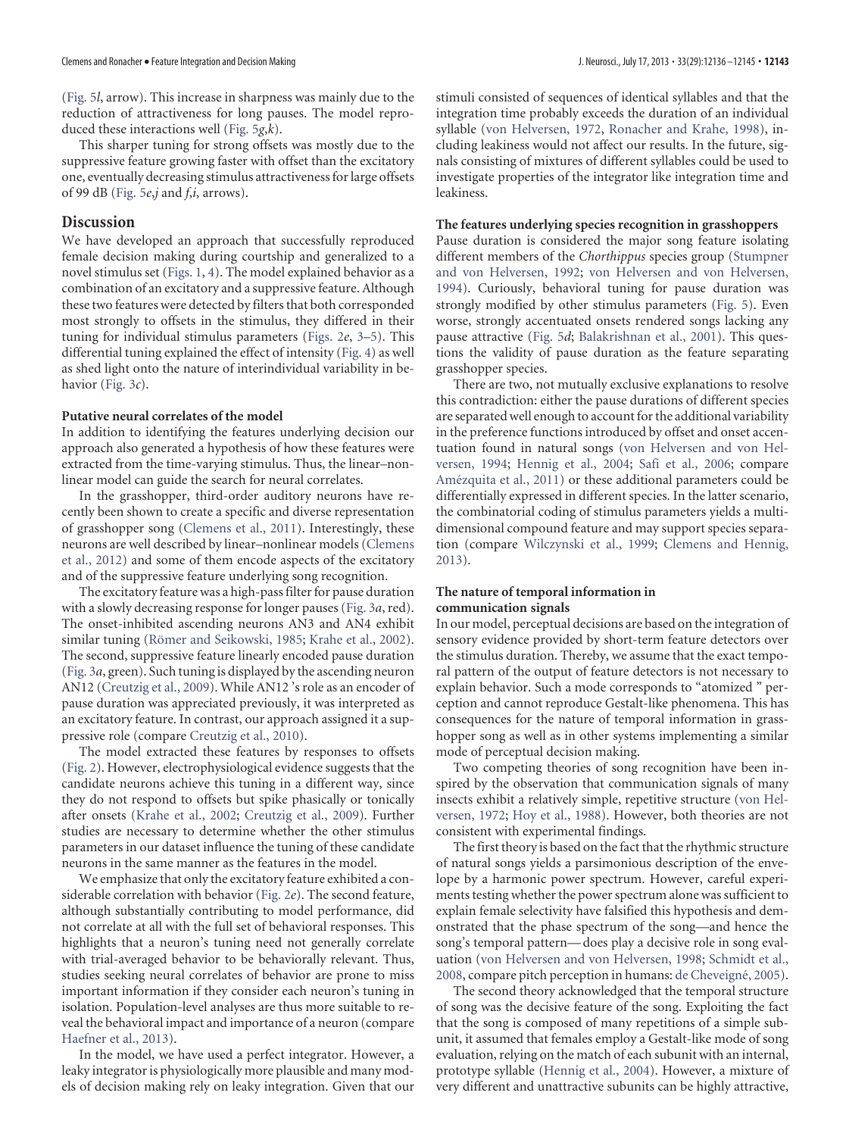[\(Fig. 5](#page-6-1)*l*, arrow). This increase in sharpness was mainly due to the reduction of attractiveness for long pauses. The model reproduced these interactions well [\(Fig. 5](#page-6-1)*g*,*k*).

This sharper tuning for strong offsets was mostly due to the suppressive feature growing faster with offset than the excitatory one, eventually decreasing stimulus attractiveness for large offsets of 99 dB [\(Fig. 5](#page-6-1)*e*,*j* and *f*,*i*, arrows).

#### **Discussion**

We have developed an approach that successfully reproduced female decision making during courtship and generalized to a novel stimulus set [\(Figs. 1,](#page-2-0) [4\)](#page-6-0). The model explained behavior as a combination of an excitatory and a suppressive feature. Although these two features were detected by filters that both corresponded most strongly to offsets in the stimulus, they differed in their tuning for individual stimulus parameters [\(Figs. 2](#page-4-0)*e*, [3](#page-5-0)[–5\)](#page-6-1). This differential tuning explained the effect of intensity [\(Fig. 4\)](#page-6-0) as well as shed light onto the nature of interindividual variability in behavior [\(Fig. 3](#page-5-0)*c*).

#### **Putative neural correlates of the model**

In addition to identifying the features underlying decision our approach also generated a hypothesis of how these features were extracted from the time-varying stimulus. Thus, the linear–nonlinear model can guide the search for neural correlates.

In the grasshopper, third-order auditory neurons have recently been shown to create a specific and diverse representation of grasshopper song [\(Clemens et al., 2011\)](#page-8-13). Interestingly, these neurons are well described by linear–nonlinear models [\(Clemens](#page-8-4) [et al., 2012\)](#page-8-4) and some of them encode aspects of the excitatory and of the suppressive feature underlying song recognition.

The excitatory feature was a high-pass filter for pause duration with a slowly decreasing response for longer pauses [\(Fig. 3](#page-5-0)*a*, red). The onset-inhibited ascending neurons AN3 and AN4 exhibit similar tuning (Römer and Seikowski, 1985; [Krahe et al., 2002\)](#page-9-21). The second, suppressive feature linearly encoded pause duration [\(Fig. 3](#page-5-0)*a*, green). Such tuning is displayed by the ascending neuron AN12 [\(Creutzig et al., 2009\)](#page-8-14). While AN12 's role as an encoder of pause duration was appreciated previously, it was interpreted as an excitatory feature. In contrast, our approach assigned it a suppressive role (compare [Creutzig et al., 2010\)](#page-8-15).

The model extracted these features by responses to offsets [\(Fig. 2\)](#page-4-0). However, electrophysiological evidence suggests that the candidate neurons achieve this tuning in a different way, since they do not respond to offsets but spike phasically or tonically after onsets [\(Krahe et al., 2002;](#page-9-21) [Creutzig et al., 2009\)](#page-8-14). Further studies are necessary to determine whether the other stimulus parameters in our dataset influence the tuning of these candidate neurons in the same manner as the features in the model.

We emphasize that only the excitatory feature exhibited a considerable correlation with behavior [\(Fig. 2](#page-4-0)*e*). The second feature, although substantially contributing to model performance, did not correlate at all with the full set of behavioral responses. This highlights that a neuron's tuning need not generally correlate with trial-averaged behavior to be behaviorally relevant. Thus, studies seeking neural correlates of behavior are prone to miss important information if they consider each neuron's tuning in isolation. Population-level analyses are thus more suitable to reveal the behavioral impact and importance of a neuron (compare [Haefner et al., 2013\)](#page-8-6).

In the model, we have used a perfect integrator. However, a leaky integrator is physiologically more plausible and many models of decision making rely on leaky integration. Given that our stimuli consisted of sequences of identical syllables and that the integration time probably exceeds the duration of an individual syllable [\(von Helversen, 1972,](#page-9-15) [Ronacher and Krahe, 1998\)](#page-9-22), including leakiness would not affect our results. In the future, signals consisting of mixtures of different syllables could be used to investigate properties of the integrator like integration time and leakiness.

## **The features underlying species recognition in grasshoppers**

Pause duration is considered the major song feature isolating different members of the *Chorthippus* species group [\(Stumpner](#page-9-18) [and von Helversen, 1992;](#page-9-18) [von Helversen and von Helversen,](#page-9-17) [1994\)](#page-9-17). Curiously, behavioral tuning for pause duration was strongly modified by other stimulus parameters [\(Fig. 5\)](#page-6-1). Even worse, strongly accentuated onsets rendered songs lacking any pause attractive [\(Fig. 5](#page-6-1)*d*; [Balakrishnan et al., 2001\)](#page-8-12). This questions the validity of pause duration as the feature separating grasshopper species.

There are two, not mutually exclusive explanations to resolve this contradiction: either the pause durations of different species are separated well enough to account for the additional variability in the preference functions introduced by offset and onset accentuation found in natural songs [\(von Helversen and von Hel](#page-9-17)[versen, 1994;](#page-9-17) [Hennig et al., 2004;](#page-8-16) [Safi et al., 2006;](#page-9-23) compare Amézquita et al., 2011) or these additional parameters could be differentially expressed in different species. In the latter scenario, the combinatorial coding of stimulus parameters yields a multidimensional compound feature and may support species separation (compare [Wilczynski et al., 1999;](#page-9-24) [Clemens and Hennig,](#page-8-18) [2013\)](#page-8-18).

## **The nature of temporal information in communication signals**

In our model, perceptual decisions are based on the integration of sensory evidence provided by short-term feature detectors over the stimulus duration. Thereby, we assume that the exact temporal pattern of the output of feature detectors is not necessary to explain behavior. Such a mode corresponds to "atomized " perception and cannot reproduce Gestalt-like phenomena. This has consequences for the nature of temporal information in grasshopper song as well as in other systems implementing a similar mode of perceptual decision making.

Two competing theories of song recognition have been inspired by the observation that communication signals of many insects exhibit a relatively simple, repetitive structure [\(von Hel](#page-9-15)[versen, 1972;](#page-9-15) [Hoy et al., 1988\)](#page-8-19). However, both theories are not consistent with experimental findings.

The first theory is based on the fact that the rhythmic structure of natural songs yields a parsimonious description of the envelope by a harmonic power spectrum. However, careful experiments testing whether the power spectrum alone was sufficient to explain female selectivity have falsified this hypothesis and demonstrated that the phase spectrum of the song—and hence the song's temporal pattern— does play a decisive role in song evaluation [\(von Helversen and von Helversen, 1998;](#page-9-25) [Schmidt et al.,](#page-9-11) [2008,](#page-9-11) compare pitch perception in humans: de Cheveigné, 2005).

The second theory acknowledged that the temporal structure of song was the decisive feature of the song. Exploiting the fact that the song is composed of many repetitions of a simple subunit, it assumed that females employ a Gestalt-like mode of song evaluation, relying on the match of each subunit with an internal, prototype syllable [\(Hennig et al., 2004\)](#page-8-16). However, a mixture of very different and unattractive subunits can be highly attractive,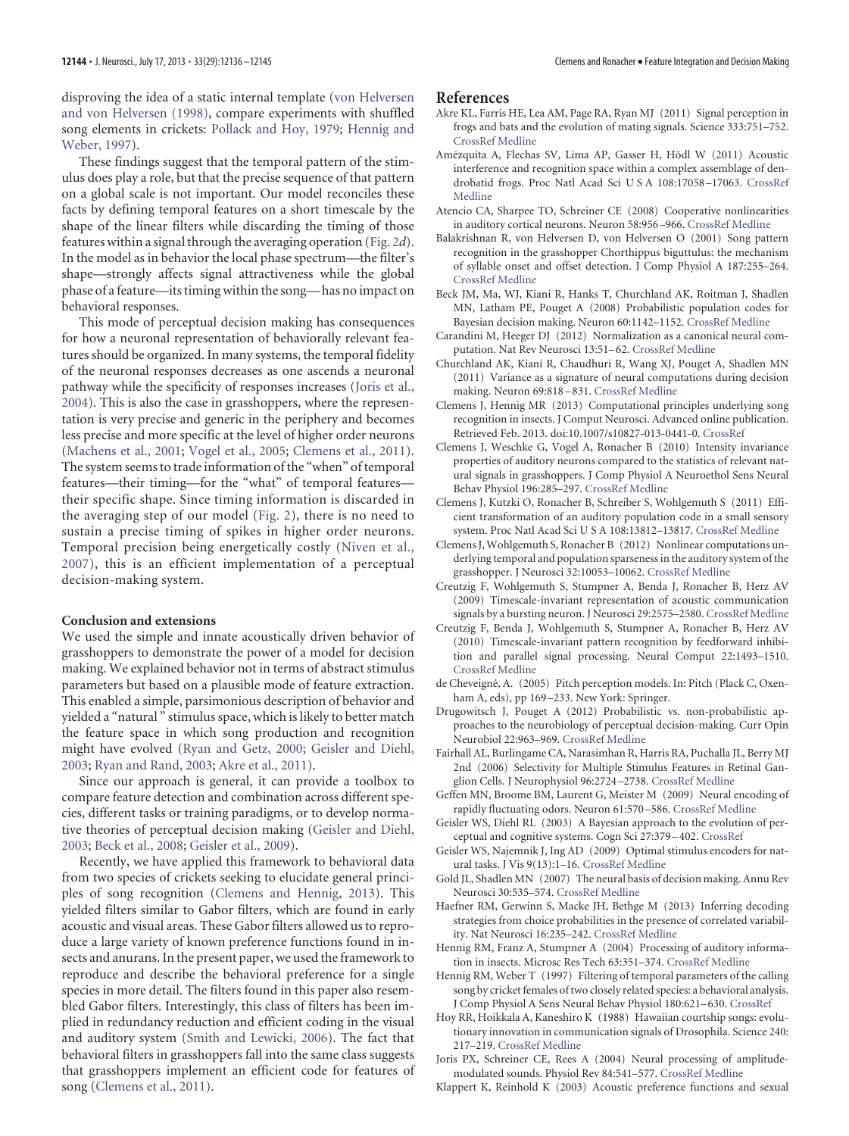disproving the idea of a static internal template [\(von Helversen](#page-9-25) [and von Helversen \(1998\),](#page-9-25) compare experiments with shuffled song elements in crickets: [Pollack and Hoy, 1979;](#page-9-26) [Hennig and](#page-8-21) [Weber, 1997\)](#page-8-21).

These findings suggest that the temporal pattern of the stimulus does play a role, but that the precise sequence of that pattern on a global scale is not important. Our model reconciles these facts by defining temporal features on a short timescale by the shape of the linear filters while discarding the timing of those features within a signal through the averaging operation [\(Fig. 2](#page-4-0)*d*). In the model as in behavior the local phase spectrum—the filter's shape—strongly affects signal attractiveness while the global phase of a feature—its timing within the song— has no impact on behavioral responses.

This mode of perceptual decision making has consequences for how a neuronal representation of behaviorally relevant features should be organized. In many systems, the temporal fidelity of the neuronal responses decreases as one ascends a neuronal pathway while the specificity of responses increases [\(Joris et al.,](#page-8-22) [2004\)](#page-8-22). This is also the case in grasshoppers, where the representation is very precise and generic in the periphery and becomes less precise and more specific at the level of higher order neurons [\(Machens et al., 2001;](#page-9-27) [Vogel et al., 2005;](#page-9-28) [Clemens et al., 2011\)](#page-8-13). The system seems to trade information of the "when" of temporal features—their timing—for the "what" of temporal features their specific shape. Since timing information is discarded in the averaging step of our model [\(Fig. 2\)](#page-4-0), there is no need to sustain a precise timing of spikes in higher order neurons. Temporal precision being energetically costly [\(Niven et al.,](#page-9-29) [2007\)](#page-9-29), this is an efficient implementation of a perceptual decision-making system.

#### **Conclusion and extensions**

We used the simple and innate acoustically driven behavior of grasshoppers to demonstrate the power of a model for decision making. We explained behavior not in terms of abstract stimulus parameters but based on a plausible mode of feature extraction. This enabled a simple, parsimonious description of behavior and yielded a "natural " stimulus space, which is likely to better match the feature space in which song production and recognition might have evolved [\(Ryan and Getz, 2000;](#page-9-30) [Geisler and Diehl,](#page-8-23) [2003;](#page-8-23) [Ryan and Rand, 2003;](#page-9-31) [Akre et al., 2011\)](#page-8-24).

Since our approach is general, it can provide a toolbox to compare feature detection and combination across different species, different tasks or training paradigms, or to develop normative theories of perceptual decision making [\(Geisler and Diehl,](#page-8-23) [2003;](#page-8-23) [Beck et al., 2008;](#page-8-5) [Geisler et al., 2009\)](#page-8-25).

Recently, we have applied this framework to behavioral data from two species of crickets seeking to elucidate general principles of song recognition [\(Clemens and Hennig, 2013\)](#page-8-18). This yielded filters similar to Gabor filters, which are found in early acoustic and visual areas. These Gabor filters allowed us to reproduce a large variety of known preference functions found in insects and anurans. In the present paper, we used the framework to reproduce and describe the behavioral preference for a single species in more detail. The filters found in this paper also resembled Gabor filters. Interestingly, this class of filters has been implied in redundancy reduction and efficient coding in the visual and auditory system [\(Smith and Lewicki, 2006\)](#page-9-32). The fact that behavioral filters in grasshoppers fall into the same class suggests that grasshoppers implement an efficient code for features of song [\(Clemens et al., 2011\)](#page-8-13).

#### **References**

- <span id="page-8-24"></span>Akre KL, Farris HE, Lea AM, Page RA, Ryan MJ (2011) Signal perception in frogs and bats and the evolution of mating signals. Science 333:751–752. [CrossRef](http://dx.doi.org/10.1126/science.1205623) [Medline](http://www.ncbi.nlm.nih.gov/pubmed/21817052)
- <span id="page-8-17"></span>Amézquita A, Flechas SV, Lima AP, Gasser H, Hödl W (2011) Acoustic interference and recognition space within a complex assemblage of dendrobatid frogs. Proc Natl Acad Sci U S A 108:17058 –17063. [CrossRef](http://dx.doi.org/10.1073/pnas.1104773108) [Medline](http://www.ncbi.nlm.nih.gov/pubmed/21969562)
- <span id="page-8-7"></span>Atencio CA, Sharpee TO, Schreiner CE (2008) Cooperative nonlinearities in auditory cortical neurons. Neuron 58:956 –966. [CrossRef](http://dx.doi.org/10.1016/j.neuron.2008.04.026) [Medline](http://www.ncbi.nlm.nih.gov/pubmed/18579084)
- <span id="page-8-12"></span>Balakrishnan R, von Helversen D, von Helversen O (2001) Song pattern recognition in the grasshopper Chorthippus biguttulus: the mechanism of syllable onset and offset detection. J Comp Physiol A 187:255–264. [CrossRef](http://dx.doi.org/10.1007/s003590100197) [Medline](http://www.ncbi.nlm.nih.gov/pubmed/11467498)
- <span id="page-8-5"></span>Beck JM, Ma, WJ, Kiani R, Hanks T, Churchland AK, Roitman J, Shadlen MN, Latham PE, Pouget A (2008) Probabilistic population codes for Bayesian decision making. Neuron 60:1142–1152. [CrossRef](http://dx.doi.org/10.1016/j.neuron.2008.09.021) [Medline](http://www.ncbi.nlm.nih.gov/pubmed/19109917)
- <span id="page-8-11"></span>Carandini M, Heeger DJ (2012) Normalization as a canonical neural computation. Nat Rev Neurosci 13:51–62. [CrossRef](http://dx.doi.org/10.1038/nrc3398) [Medline](http://www.ncbi.nlm.nih.gov/pubmed/22108672)
- <span id="page-8-2"></span>Churchland AK, Kiani R, Chaudhuri R, Wang XJ, Pouget A, Shadlen MN (2011) Variance as a signature of neural computations during decision making. Neuron 69:818 –831. [CrossRef](http://dx.doi.org/10.1016/j.neuron.2010.12.037) [Medline](http://www.ncbi.nlm.nih.gov/pubmed/21338889)
- <span id="page-8-18"></span>Clemens J, Hennig MR (2013) Computational principles underlying song recognition in insects. J Comput Neurosci. Advanced online publication. Retrieved Feb. 2013. doi:10.1007/s10827-013-0441-0. [CrossRef](http://dx.doi.org/10.1007/s10827-013-0441-0)
- <span id="page-8-10"></span>Clemens J, Weschke G, Vogel A, Ronacher B (2010) Intensity invariance properties of auditory neurons compared to the statistics of relevant natural signals in grasshoppers. J Comp Physiol A Neuroethol Sens Neural Behav Physiol 196:285–297. [CrossRef](http://dx.doi.org/10.1007/s00359-010-0515-7) [Medline](http://www.ncbi.nlm.nih.gov/pubmed/20213109)
- <span id="page-8-13"></span>Clemens J, Kutzki O, Ronacher B, Schreiber S, Wohlgemuth S (2011) Efficient transformation of an auditory population code in a small sensory system. Proc Natl Acad Sci U S A 108:13812–13817. [CrossRef](http://dx.doi.org/10.1073/pnas.1104506108) [Medline](http://www.ncbi.nlm.nih.gov/pubmed/21825132)
- <span id="page-8-4"></span>Clemens J,Wohlgemuth S, Ronacher B (2012) Nonlinear computations underlying temporal and population sparseness in the auditory system of the grasshopper. J Neurosci 32:10053–10062. [CrossRef](http://dx.doi.org/10.1523/JNEUROSCI.5911-11.2012) [Medline](http://www.ncbi.nlm.nih.gov/pubmed/22815519)
- <span id="page-8-14"></span>Creutzig F, Wohlgemuth S, Stumpner A, Benda J, Ronacher B, Herz AV (2009) Timescale-invariant representation of acoustic communication signals by a bursting neuron. J Neurosci 29:2575–2580. [CrossRef](http://dx.doi.org/10.1523/JNEUROSCI.0599-08.2009) [Medline](http://www.ncbi.nlm.nih.gov/pubmed/19244533)
- <span id="page-8-15"></span>Creutzig F, Benda J, Wohlgemuth S, Stumpner A, Ronacher B, Herz AV (2010) Timescale-invariant pattern recognition by feedforward inhibition and parallel signal processing. Neural Comput 22:1493–1510. [CrossRef](http://dx.doi.org/10.1162/neco.2010.05-09-1016) [Medline](http://www.ncbi.nlm.nih.gov/pubmed/20141475)
- <span id="page-8-20"></span>de Cheveigné, A. (2005) Pitch perception models. In: Pitch (Plack C, Oxenham A, eds), pp 169-233. New York: Springer.
- <span id="page-8-1"></span>Drugowitsch J, Pouget A (2012) Probabilistic vs. non-probabilistic approaches to the neurobiology of perceptual decision-making. Curr Opin Neurobiol 22:963–969. [CrossRef](http://dx.doi.org/10.1016/j.conb.2012.07.007) [Medline](http://www.ncbi.nlm.nih.gov/pubmed/22884815)
- <span id="page-8-3"></span>Fairhall AL, Burlingame CA, Narasimhan R, Harris RA, Puchalla JL, Berry MJ 2nd (2006) Selectivity for Multiple Stimulus Features in Retinal Ganglion Cells. J Neurophysiol 96:2724 –2738. [CrossRef](http://dx.doi.org/10.1152/jn.00995.2005) [Medline](http://www.ncbi.nlm.nih.gov/pubmed/16914609)
- <span id="page-8-8"></span>Geffen MN, Broome BM, Laurent G, Meister M (2009) Neural encoding of rapidly fluctuating odors. Neuron 61:570 –586. [CrossRef](http://dx.doi.org/10.1016/j.neuron.2009.01.021) [Medline](http://www.ncbi.nlm.nih.gov/pubmed/19249277)
- <span id="page-8-23"></span>Geisler WS, Diehl RL (2003) A Bayesian approach to the evolution of perceptual and cognitive systems. Cogn Sci 27:379 –402. [CrossRef](http://dx.doi.org/10.1207/s15516709cog2703_3)
- <span id="page-8-25"></span>Geisler WS, Najemnik J, Ing AD (2009) Optimal stimulus encoders for natural tasks. J Vis 9(13):1–16. [CrossRef](http://dx.doi.org/10.1167/9.13.17) [Medline](http://www.ncbi.nlm.nih.gov/pubmed/20055550)
- <span id="page-8-0"></span>Gold JL, Shadlen MN (2007) The neural basis of decision making. Annu Rev Neurosci 30:535–574. [CrossRef](http://dx.doi.org/10.1146/annurev.neuro.29.051605.113038) [Medline](http://www.ncbi.nlm.nih.gov/pubmed/17600525)
- <span id="page-8-6"></span>Haefner RM, Gerwinn S, Macke JH, Bethge M (2013) Inferring decoding strategies from choice probabilities in the presence of correlated variability. Nat Neurosci 16:235–242. [CrossRef](http://dx.doi.org/10.1038/nn.3309) [Medline](http://www.ncbi.nlm.nih.gov/pubmed/23313912)
- <span id="page-8-16"></span>Hennig RM, Franz A, Stumpner A (2004) Processing of auditory information in insects. Microsc Res Tech 63:351–374. [CrossRef](http://dx.doi.org/10.1002/jemt.20052) [Medline](http://www.ncbi.nlm.nih.gov/pubmed/15252878)
- <span id="page-8-21"></span>Hennig RM, Weber T (1997) Filtering of temporal parameters of the calling song by cricket females of two closely related species: a behavioral analysis. J Comp Physiol A Sens Neural Behav Physiol 180:621–630. [CrossRef](http://dx.doi.org/10.1007/s003590050078)
- <span id="page-8-19"></span>Hoy RR, Hoikkala A, Kaneshiro K (1988) Hawaiian courtship songs: evolutionary innovation in communication signals of Drosophila. Science 240: 217–219. [CrossRef](http://dx.doi.org/10.1126/science.3127882) [Medline](http://www.ncbi.nlm.nih.gov/pubmed/3127882)
- <span id="page-8-22"></span>Joris PX, Schreiner CE, Rees A (2004) Neural processing of amplitudemodulated sounds. Physiol Rev 84:541–577. [CrossRef](http://dx.doi.org/10.1152/physrev.00029.2003) [Medline](http://www.ncbi.nlm.nih.gov/pubmed/15044682)
- <span id="page-8-9"></span>Klappert K, Reinhold K (2003) Acoustic preference functions and sexual